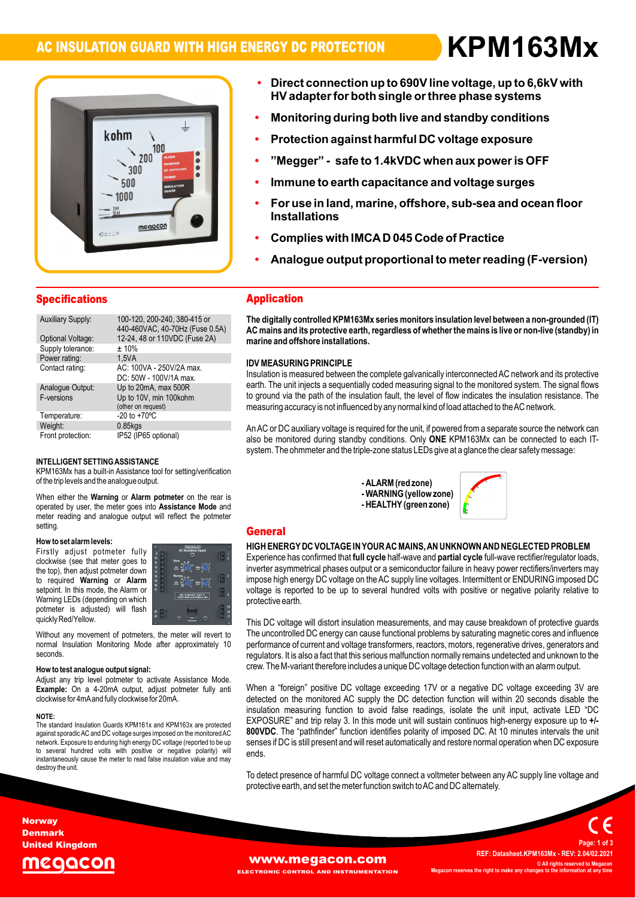# **AC INSULATION GUARD WITH HIGH ENERGY DC PROTECTION KPM163MxïDirect**

**ï**

**HVadapter**

**for**

# kohm 100 200 300 500 1000 megacon  $80 \cdot 18$

# **connection up to 690Vline voltage, up to 6,6kV with b**irect connection up to 690V line voltage, up to 6,6kV with<br>HV adapter for both single or three phase systems ection up to 690V line voltage, up to 6,6kV with<br>for both single or three phase systems<br>during both live and standby conditions

- **Protection against harmful DC voltage exposure**
- $\blacksquare$  **Protection against harmful DC** voltage exposure<br>"Megger" safe to 1.4kVDC when aux power is OFF
- **Immune to earth capacitance and voltage surges**
- **Immune to earth capacitance and voltage surges<br>For use in land. marine. offshore. sub-sea and ocea Immune to e ,**
- Immune to earth capacitance and voltage surges<br>For use in land, marine, offshore, sub-sea and ocean floor **ï**For use in land, marine, offshore, sub-sea and ocean<br>Installations<br>Complies with IMCA D 045 Code of Practice
- 
- mplies with IMCA D 045 Code of Practice<br>alogue output proportional to meter reading (F-version)

| <b>Specifications</b>    |                                                                 |
|--------------------------|-----------------------------------------------------------------|
| <b>Auxiliary Supply:</b> | 100-120, 200-240, 380-415 or<br>440-460VAC, 40-70Hz (Fuse 0.5A) |
| Optional Voltage:        | 12-24, 48 or 110VDC (Fuse 2A)                                   |
| Supply tolerance:        | ±10%                                                            |
| Power rating:            | 1.5VA                                                           |
| Contact rating:          | AC: 100VA - 250V/2A max.<br>DC: 50W - 100V/1A max.              |
| Analogue Output:         | Up to 20mA, max 500R                                            |
| F-versions               | Up to 10V, min 100kohm                                          |
|                          | (other on request)                                              |
| Temperature:             | $-20$ to $+70^{\circ}$ C                                        |
| Weight:                  | $0.85$ kgs                                                      |
| Front protection:        | IP52 (IP65 optional)                                            |

### $k \neq 0$ of

of the trip levels and the analogue output. **Alarm potmeter** on the ادی ہے۔<br>NT SETTING ASSISTANCE<br>has a built-in Assistance tool for setting/verification INTELLIGENT SETTING ASSISTANCE<br>KPM163Mx has a built-in Assistance tool for<br>of the trip levels and the analogue output. of the trip levels and the analogue output.<br>When either the **Warning or Alarm potmeter** on the rear is

the rear is<br>**Mode** and When either the **Warning** or **Alarm potmeter** on the rear is<br>operated by user, the meter goes into Assistance Mode and operated by user, the meter goes into **Assistance Mode** and meter reading and analogue output will reflect the potmeter setting setting.<br>**How to set alarm levels:** 

### e<mark>talarm levels:</mark><br>adjust potmeter fully now to se

**EXECUTE:** THE RESIDENT RESIDENCE CONSIDERS A MODEL OF A MODEL OF A MODEL OF A MODEL OF A MODEL OF A MODEL OF A<br>The top), then adjust potmeter down red Warning or **Alarm**<br> **Alarm Alarm Alarm Alarm Alarm Alarm Alarm Alarm Alarm 1999 How to set alarm levels:**<br>Firstly adjust potmeter fully **seems**<br>clockwise (see that meter goes to "i" " required variables that meter goes to<br>the top), then adjust potmeter down<br>to required **Warning** or **Alarm**<br>setpoint. In this mode, the Alarm or<br>Warning LEDs (depending on which vvarning LEDS (dependin<br>potmeter is adjusted)<br>quickly Red/Yellow. to required Warning or Alarm setpoint. In this mode, the Alarm or selpoint. In this mode, the Alamn of<br>Warning LEDs (depending on which<br>potmeter is adjusted) will flash a



quickly Red/Yellow.<br>
Without any movement of potmeters, the meter will revert to The<br>
normal Insulation Monitoring Mode after approximately 10 perf seconds

clockwise for 4mA and fully clockwise for 20mA. **the weight of the signal: help weight of the signal:** Adjust any trip level potmeter to activate Assistance Mode. **How to test analogue output signal:**<br>Adjust any trip level potmeter to activate Assistance Mode.<br>**Example:** On a 4-20mA output, adjust potmeter fully anti y trip lever potmeter to activate A<br>On a 4-20mA output, adjust po<br>for 4mAand fully clockwise for 20mA.

### NOTE:

insulation<br>The standard Insulation Guards KPM161x and KPM163x are protected EXPI<br>against sporadic AC and DC voltage surges imposed on the monitored AC 800V net standard insulation Guards KPM to ix and KPM took are protected<br>against sporadic AC and DC voltage surges imposed on the monitored AC 80<br>network. Exposure to enduring high energy DC voltage (reported to be up agamst sporadic AC and DC voltage surges imposed on the monitored AC<br>network. Exposure to enduring high energy DC voltage (reported to be up<br>to several hundred volts with positive or negative polarity) wi network. Exposure to enduring nigh energy DC voltage (reported to be up<br>to several hundred volts with positive or negative polarity) will er<br>instantaneously cause the meter to read false insulation value and may instantaneously cause the meter to read false insulation value and may destroy the unit.

# **The**Application

**Application**<br>The digitally controlled KPM163Mx series monitors insulation level between a non-grounded (IT)<br>AC mains and its protective earth. regardless of whether the mains is live or non-live (standby) in AC mains and its protective earth, regardless of whether the mains is live or non-live (standby) in marine and offshore installations.

### $\sum_{i=1}^{n}$ ida M<br>.

**iURING PRINCIPLE**<br>is measured between the complete galvanically interconnected AC network and its protective יום איז באסטרגוועט אימונוריביב<br>Insulation is measured between the complete galvanically interconnected AC network and its protective<br>earth. The unit iniects a sequentially coded measuring signal to the monitored system. T msulation is measured between the complete galvanically interconnected AC hetwork and its protective<br>earth. The unit injects a sequentially coded measuring signal to the monitored system. The signal flows<br>to ground via the to ground via the path of the insulation fault, the level of flow indicates the insulation resistance. The measuring accuracy is not influenced by any normal kind of load attached to the AC network.

measuring accuracy is not imitienced by any normal kind or load attached to the AC hetwork.<br>An AC or DC auxiliary voltage is required for the unit, if powered from a separate source the network can<br>also be monitored during The auxiliary voltage is required for the trifle, if powered from a separate source the network can<br>monitored during standby conditions. Only **ONE** KPM163Mx can be connected to each I<br>The ohmmeter and the triple-zone statu

> **)**  $\mathbf{v}$ **-HEALTHY(green**



### **General General** Second Communication of the communication of the communication of the communication of the communication of the communication of the communication of the communication of the communication of the communication of

### ---------<br>HIGH ENERGY DC VOLTAGE IN YOUR AC MAINS, AN<br>Experience has confirmed that full cycle half-wave and r o creating.<br>HIGH ENERGY DC VOLTAGE IN YOUR AC MAINS, AN UNKNOWN AND NEGLECTED PROBLEM<br>Experience has confirmed that full cycle half-wave and partial cycle full-wave rectifier/regulator loads. **iN YOUR AC MAINS, AN UNKNOWN AND NEC**<br>full cycle half-wave and **partial cycle** full-wave

HIGH ENERGT DU VOLTAGE IN TOUR AU MAINS, AN UNNNOWN AND NEGLECTED PROBLEM<br>Experience has confirmed that **full cycle** half-wave and **partial cycle** full-wave rectifier/regulator loads,<br>inverter asymmetrical phases output or Experience has commmed that **run cycle** nail-wave and **partial cycle** full-wave rectifiers/inverters may<br>inverter asymmetrical phases output or a semiconductor failure in heavy power rectifiers/inverters may<br>impose high en inverier asymmetrical phases output or a semiconductor railure in neavy power rectiliers/inverters may<br>impose high energy DC voltage on the AC supply line voltages. Intermittent or ENDURING imposed DC<br>voltage is reported t voltage is reported to be up to several hundred volts with positive or negative polarity relative to protective earth.

protective earth.<br>This DC voltage will distort insulation measurements, and may cause breakdown of protective guards<br>The uncontrolled DC energy can cause functional problems by saturating magnetic cores and influence This DC voltage will distort insulation measurements, and may cause breakdown or protective guards<br>The uncontrolled DC energy can cause functional problems by saturating magnetic cores and influence<br>performance of current The uncontrolled DC energy can cause functional problems by saturating magnetic cores and imituence<br>performance of current and voltage transformers, reactors, motors, regenerative drives, generators and<br>requlators. It is a regulators. It is also a fact that this serious malfunction normally remains undetected and unknown to the crew.<br>Crew. The M-variant therefore includes a unique DC voltage detection function with an alarm output.

when a loreign positive DC voltage exceeding T/V or a negative DC voltage exceeding SV are<br>detected on the monitored AC supply the DC detection function will within 20 seconds disable the<br>insulation measuring function to a insulation measuring function to avoid faise readings, isolate the unit input, activate LED DC<br>EXPOSURE" and trip relay 3. In this mode unit will sustain continuos high-energy exposure up to +/-<br>800VDC. The "pathfinder" fu crew. The M-vahant therefore includes a dinque DC voltage detection function with an alarm output.<br>When a "foreign" positive DC voltage exceeding 17V or a negative DC voltage exceeding 3V are<br>detected on the monitored AC s on the monitored AC supply the DC detection function will within 20 seconds disable the<br>n measuring function to avoid false readings, isolate the unit input, activate LED "DC<br>JRE" and trip relay 3. In this mode unit will s EXPOSORE Tand the relay S. In this mode unit will sustain continuos high-energy exposure up to +1-<br>**800VDC**. The "pathfinder" function identifies polarity of imposed DC. At 10 minutes intervals the unit<br>senses if DC is sti ends.

enus.<br>To detect presence of harmful DC voltage connect a voltmeter between any AC supply line voltage and<br>protective earth, and set the meter function switch to AC and DC alternately.

**Norway** Denmark United Kingdom



### **WWW.Megacon.com**<br>ECTRONIC CONTROL AND INSTRUMENTATION Megacon reserves the right to make any char **EL AND INSTRUMENTATION**

**REF: Datasheet.KPM163Mx - REV: 2.04/02.2021 © All rights reserved to Megacon MegaconC** All rights reserved to Meganges to the **information** at any **<sup>1</sup> of <sup>3</sup>**

**Page:**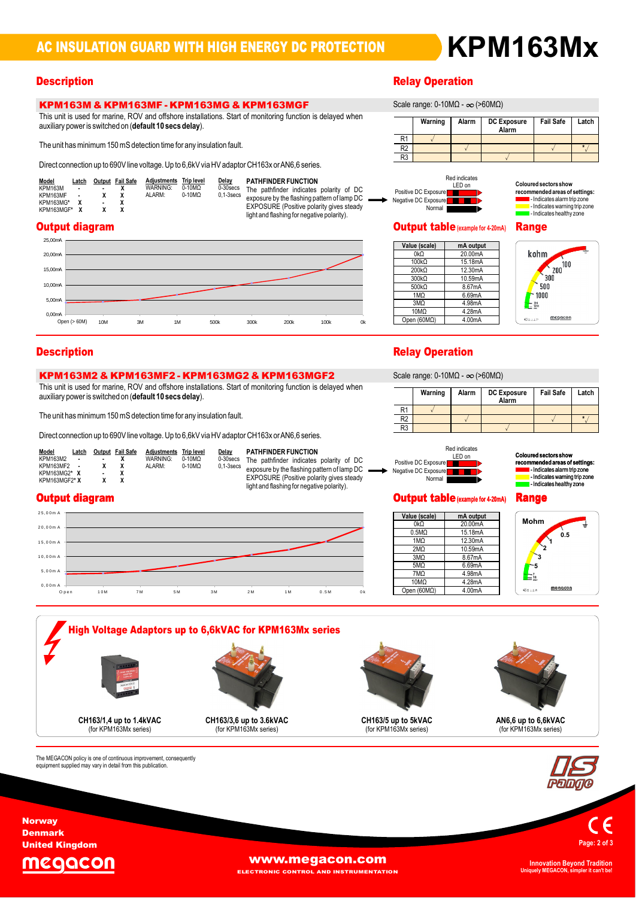**Alarm DC Exposure Eail Safe** 

**\***<br>
<u>*\**<br> **\***<br> **\***</u>

# **Description** Relay Operation Relay Operation Relay Operation Relay Operation

# KPM163M & KPM163MF - KPM163MG & KPM163MGF<br>This unit is used for marine, ROV and offshore installations. Start of monitoring function is delayed when

This unit is used for marine, ROV and offshore installations. Securiting power is switched on (**default 10** secs delay). auxiliary power is switched on (default 10 secs delay).<br>The unit has minimum 150 mS detection time for any insulation fault.

**EXECTM TOORIZE ON THE OCUME 2 - KENT TOORISM**<br>This unit is used for marine, ROV and offshore installations. S<br>auxiliary power is switched on (default 10 secs delay). auxiliary power is switched on (default 10 secs delay).<br>The unit has minimum 150 mS detection time for any insulation fault.

> **Latch Output Fail Safe Adjusted Servester Structure Control of the Servester Structure Servester Structure Structure Structure Structure Structure Structure Structure Structure Structure Structure Structure Structure Stru <sup>X</sup> - <sup>X</sup>**

**<sup>X</sup> <sup>X</sup> <sup>X</sup>**

|                                                                                                             | The unit has minimum 150 ms detection time for any insulation fault. |                                                                                               |                                                                                                                                                                                                                                               |  |
|-------------------------------------------------------------------------------------------------------------|----------------------------------------------------------------------|-----------------------------------------------------------------------------------------------|-----------------------------------------------------------------------------------------------------------------------------------------------------------------------------------------------------------------------------------------------|--|
|                                                                                                             |                                                                      |                                                                                               | Direct connection up to 690V line voltage. Up to 6,6kV via HV adaptor CH163x or AN6.6 series.                                                                                                                                                 |  |
| Model<br>Latch<br>KPM163M<br>$\blacksquare$<br>KPM163MF<br>$\blacksquare$<br>KPM163MG*<br>x<br>KPM163MGF* X | Adjustments<br>Output Fail Safe<br><b>WARNING:</b><br>ALARM:<br>x    | Delay<br><b>Trip level</b><br>$0-10M\Omega$<br>$0-30$ secs<br>$0-10M\Omega$<br>$0.1 - 3$ secs | <b>PATHFINDER FUNCTION</b><br>The pathfinder indicates polarity of DC<br>exposure by the flashing pattern of lamp $DC \longrightarrow_{\mathbb{R}}$<br>EXPOSURE (Positive polarity gives steady<br>light and flashing for negative polarity). |  |



KPM163**M2** & KPM163**M**F**2** - KPM163**MG2** & KPM163**MG**F**2** This unit is used for marine, ROV and offshore installations. Start of monitoring function is delayed when

 $\overline{\phantom{a}}$ FAINFIN<br>T

EXPOSURE (Positive polarity gives steady<br>light and flashing for negative polarity).



 $\sqrt{2}$ 

# $\mathsf{Coloured}\, \mathsf{sector}\, \mathsf{show}$ **red sectors show<br>imended areas of settings:<br>- Indicates alarm trip zone** mended areas or settings:<br>- Indicates alarm trip zone<br>- Indicates warning trip zone<br>- Indicates healthy zone

**Safe Latch**

# **Output diagram Contract Contract Contract Contract Contract Contract Contract Contract Contract Contract Contract Contract Contract Contract Contract Contract Contract Contract Contract Contract Contract Contract Contract**

| Value (scale) | mA output |
|---------------|-----------|
| 0kQ           | 20.00mA   |
| $100k\Omega$  | 15.18mA   |
| 200kO         | 12.30mA   |
| $300k\Omega$  | 10.59mA   |
| 500kQ         | 8.67mA    |
| 1MQ           | 6.69mA    |
| 3MO           | 4.98mA    |
| 10MΩ          | 4.28mA    |
| Open (60MO)   | 4.00mA    |



# **Description**<br>Scale of the Contract of Contract of the Contract of the Relay Operation

**Warning range: 0-10MΩ - ∞ (>60MΩ)** 

| $O$ Calc Tariye. U-TUNISZ - $O$ ( $O$ UUNISZ) |         |       |                             |                  |       |
|-----------------------------------------------|---------|-------|-----------------------------|------------------|-------|
|                                               | Warning | Alarm | <b>DC Exposure</b><br>Alarm | <b>Fail Safe</b> | Latch |
| R1                                            |         |       |                             |                  |       |
| R <sub>2</sub>                                |         |       |                             |                  |       |
| R <sub>3</sub>                                |         |       |                             |                  |       |



# **Coloured sectors she red sectors show<br>imended areas of settings:<br>- Indicates alarm trip zone**

lectricates warning trip zone<br>lectricates healthy zone

### Output diagram

**\***

Model Latch<br>KPM163M2 KPM163MF2 KPM163MG2\*



The unit has minimum 150 mS detection time for any insulation fault.<br>Direct connection up to 690V line voltage. Up to 6,6kV via HV adaptor CH163x or AN6,6 series.<br>Model Latch Output Fail Safe Adjustments Trip level Delay P

**Adjustments Triplevel Delay PAT**<br>WARNING: 0-10MQ 0-30secs The  $\frac{Trip \text{ level}}{0.10 \text{ MO}}$   $\frac{Delay}{0.30 \text{ sec}}$ <br>0-10MQ 0.1-3secs



rnenaea areas or setungs:<br>- Indicates alarm trip zone<br>- Indicates warning trip zone

### Output table**(example for4-20mA)** Range **Range**



**High Voltage Adaptors up to 6,6kVAC for KPM163Mx series up to 1.4kVAC** (for KPM163Mx series) **CH163/5 up to 5kVAC** (for KPM163Mx series) **up to 3.6kVAC** (for KPM163Mx series) **up to 6,6kVAC** (for KPM163Mx series)

The MEGACON policy is one of continuous improvement, consequently<br>equipment supplied may vary in detail from this publication.







**Norway** Denmark United Kingdom

The



**WWW.megacon.com** 

ELECTRONIC CONTROL AND INSTRUMENTATION

**Uniquely MEGACON, simpler it can't be!**

# **Warning** range: 0-10MΩ - ∞ (>60MΩ)

Warning

 $R<sub>1</sub>$ 

R<sub>2</sub>

 $R3$